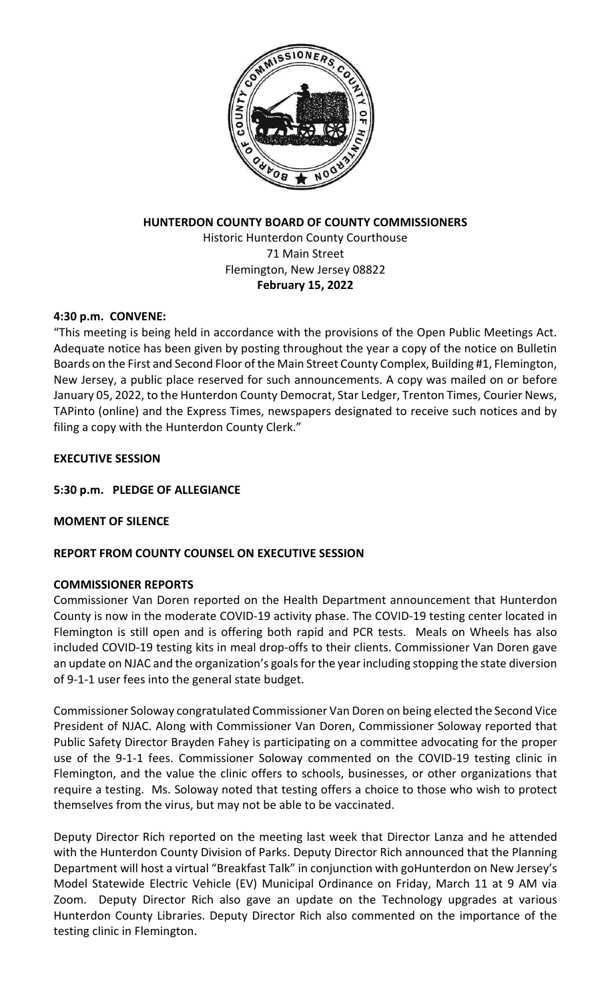

# **HUNTERDON COUNTY BOARD OF COUNTY COMMISSIONERS** Historic Hunterdon County Courthouse 71 Main Street Flemington, New Jersey 08822 **February 15, 2022**

## **4:30 p.m. CONVENE:**

"This meeting is being held in accordance with the provisions of the Open Public Meetings Act. Adequate notice has been given by posting throughout the year a copy of the notice on Bulletin Boards on the First and Second Floor of the Main Street County Complex, Building #1, Flemington, New Jersey, a public place reserved for such announcements. A copy was mailed on or before January 05, 2022, to the Hunterdon County Democrat, Star Ledger, Trenton Times, Courier News, TAPinto (online) and the Express Times, newspapers designated to receive such notices and by filing a copy with the Hunterdon County Clerk."

## **EXECUTIVE SESSION**

## **5:30 p.m. PLEDGE OF ALLEGIANCE**

### **MOMENT OF SILENCE**

# **REPORT FROM COUNTY COUNSEL ON EXECUTIVE SESSION**

### **COMMISSIONER REPORTS**

Commissioner Van Doren reported on the Health Department announcement that Hunterdon County is now in the moderate COVID-19 activity phase. The COVID-19 testing center located in Flemington is still open and is offering both rapid and PCR tests. Meals on Wheels has also included COVID-19 testing kits in meal drop-offs to their clients. Commissioner Van Doren gave an update on NJAC and the organization's goals for the year including stopping the state diversion of 9-1-1 user fees into the general state budget.

Commissioner Soloway congratulated Commissioner Van Doren on being elected the Second Vice President of NJAC. Along with Commissioner Van Doren, Commissioner Soloway reported that Public Safety Director Brayden Fahey is participating on a committee advocating for the proper use of the 9-1-1 fees. Commissioner Soloway commented on the COVID-19 testing clinic in Flemington, and the value the clinic offers to schools, businesses, or other organizations that require a testing. Ms. Soloway noted that testing offers a choice to those who wish to protect themselves from the virus, but may not be able to be vaccinated.

Deputy Director Rich reported on the meeting last week that Director Lanza and he attended with the Hunterdon County Division of Parks. Deputy Director Rich announced that the Planning Department will host a virtual "Breakfast Talk" in conjunction with goHunterdon on New Jersey's Model Statewide Electric Vehicle (EV) Municipal Ordinance on Friday, March 11 at 9 AM via Zoom. Deputy Director Rich also gave an update on the Technology upgrades at various Hunterdon County Libraries. Deputy Director Rich also commented on the importance of the testing clinic in Flemington.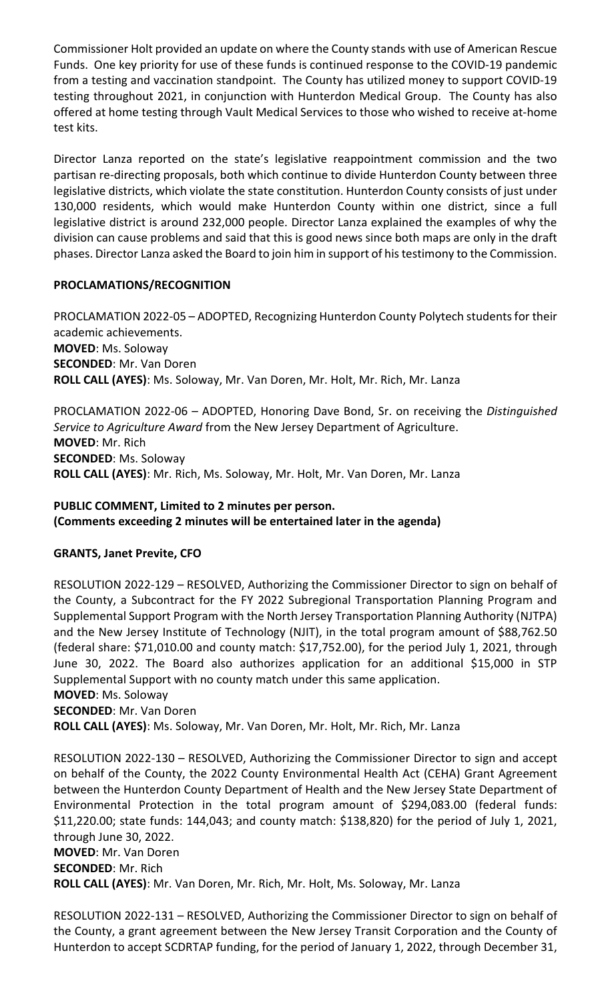Commissioner Holt provided an update on where the County stands with use of American Rescue Funds. One key priority for use of these funds is continued response to the COVID-19 pandemic from a testing and vaccination standpoint. The County has utilized money to support COVID-19 testing throughout 2021, in conjunction with Hunterdon Medical Group. The County has also offered at home testing through Vault Medical Services to those who wished to receive at-home test kits.

Director Lanza reported on the state's legislative reappointment commission and the two partisan re-directing proposals, both which continue to divide Hunterdon County between three legislative districts, which violate the state constitution. Hunterdon County consists of just under 130,000 residents, which would make Hunterdon County within one district, since a full legislative district is around 232,000 people. Director Lanza explained the examples of why the division can cause problems and said that this is good news since both maps are only in the draft phases. Director Lanza asked the Board to join him in support of his testimony to the Commission.

# **PROCLAMATIONS/RECOGNITION**

PROCLAMATION 2022-05 – ADOPTED, Recognizing Hunterdon County Polytech students for their academic achievements. **MOVED**: Ms. Soloway **SECONDED**: Mr. Van Doren **ROLL CALL (AYES)**: Ms. Soloway, Mr. Van Doren, Mr. Holt, Mr. Rich, Mr. Lanza

PROCLAMATION 2022-06 – ADOPTED, Honoring Dave Bond, Sr. on receiving the *Distinguished Service to Agriculture Award* from the New Jersey Department of Agriculture. **MOVED**: Mr. Rich **SECONDED**: Ms. Soloway **ROLL CALL (AYES)**: Mr. Rich, Ms. Soloway, Mr. Holt, Mr. Van Doren, Mr. Lanza

## **PUBLIC COMMENT, Limited to 2 minutes per person. (Comments exceeding 2 minutes will be entertained later in the agenda)**

# **GRANTS, Janet Previte, CFO**

RESOLUTION 2022-129 – RESOLVED, Authorizing the Commissioner Director to sign on behalf of the County, a Subcontract for the FY 2022 Subregional Transportation Planning Program and Supplemental Support Program with the North Jersey Transportation Planning Authority (NJTPA) and the New Jersey Institute of Technology (NJIT), in the total program amount of \$88,762.50 (federal share: \$71,010.00 and county match: \$17,752.00), for the period July 1, 2021, through June 30, 2022. The Board also authorizes application for an additional \$15,000 in STP Supplemental Support with no county match under this same application. **MOVED**: Ms. Soloway

**SECONDED**: Mr. Van Doren

**ROLL CALL (AYES)**: Ms. Soloway, Mr. Van Doren, Mr. Holt, Mr. Rich, Mr. Lanza

RESOLUTION 2022-130 – RESOLVED, Authorizing the Commissioner Director to sign and accept on behalf of the County, the 2022 County Environmental Health Act (CEHA) Grant Agreement between the Hunterdon County Department of Health and the New Jersey State Department of Environmental Protection in the total program amount of \$294,083.00 (federal funds: \$11,220.00; state funds: 144,043; and county match: \$138,820) for the period of July 1, 2021, through June 30, 2022. **MOVED**: Mr. Van Doren **SECONDED**: Mr. Rich

**ROLL CALL (AYES)**: Mr. Van Doren, Mr. Rich, Mr. Holt, Ms. Soloway, Mr. Lanza

RESOLUTION 2022-131 – RESOLVED, Authorizing the Commissioner Director to sign on behalf of the County, a grant agreement between the New Jersey Transit Corporation and the County of Hunterdon to accept SCDRTAP funding, for the period of January 1, 2022, through December 31,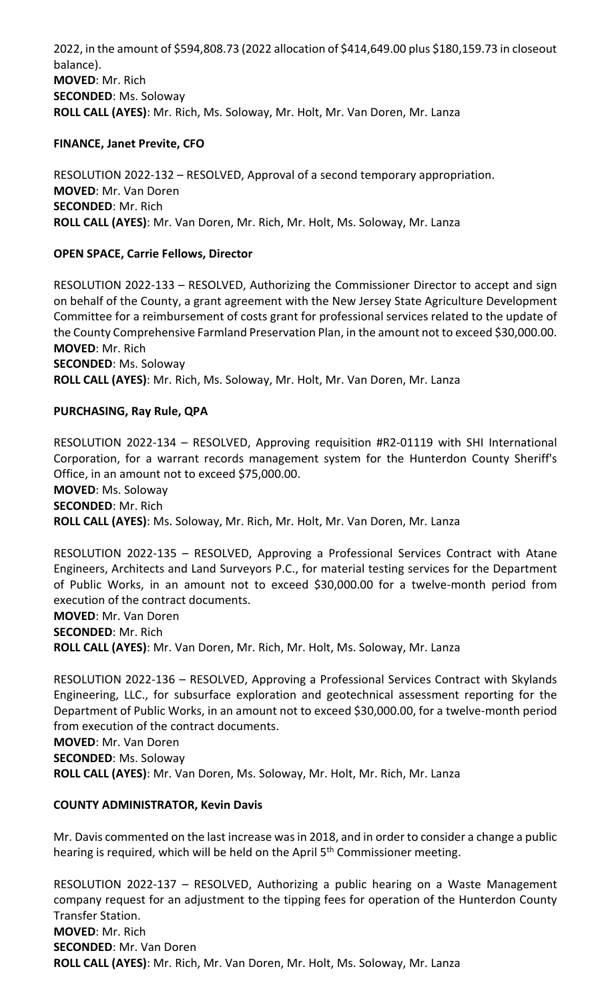2022, in the amount of \$594,808.73 (2022 allocation of \$414,649.00 plus \$180,159.73 in closeout balance). **MOVED**: Mr. Rich **SECONDED**: Ms. Soloway **ROLL CALL (AYES)**: Mr. Rich, Ms. Soloway, Mr. Holt, Mr. Van Doren, Mr. Lanza

## **FINANCE, Janet Previte, CFO**

RESOLUTION 2022-132 – RESOLVED, Approval of a second temporary appropriation. **MOVED**: Mr. Van Doren **SECONDED**: Mr. Rich **ROLL CALL (AYES)**: Mr. Van Doren, Mr. Rich, Mr. Holt, Ms. Soloway, Mr. Lanza

# **OPEN SPACE, Carrie Fellows, Director**

RESOLUTION 2022-133 – RESOLVED, Authorizing the Commissioner Director to accept and sign on behalf of the County, a grant agreement with the New Jersey State Agriculture Development Committee for a reimbursement of costs grant for professional services related to the update of the County Comprehensive Farmland Preservation Plan, in the amount not to exceed \$30,000.00. **MOVED**: Mr. Rich **SECONDED**: Ms. Soloway

**ROLL CALL (AYES)**: Mr. Rich, Ms. Soloway, Mr. Holt, Mr. Van Doren, Mr. Lanza

## **PURCHASING, Ray Rule, QPA**

RESOLUTION 2022-134 – RESOLVED, Approving requisition #R2-01119 with SHI International Corporation, for a warrant records management system for the Hunterdon County Sheriff's Office, in an amount not to exceed \$75,000.00. **MOVED**: Ms. Soloway **SECONDED**: Mr. Rich

**ROLL CALL (AYES)**: Ms. Soloway, Mr. Rich, Mr. Holt, Mr. Van Doren, Mr. Lanza

RESOLUTION 2022-135 – RESOLVED, Approving a Professional Services Contract with Atane Engineers, Architects and Land Surveyors P.C., for material testing services for the Department of Public Works, in an amount not to exceed \$30,000.00 for a twelve-month period from execution of the contract documents. **MOVED**: Mr. Van Doren

**SECONDED**: Mr. Rich

**ROLL CALL (AYES)**: Mr. Van Doren, Mr. Rich, Mr. Holt, Ms. Soloway, Mr. Lanza

RESOLUTION 2022-136 – RESOLVED, Approving a Professional Services Contract with Skylands Engineering, LLC., for subsurface exploration and geotechnical assessment reporting for the Department of Public Works, in an amount not to exceed \$30,000.00, for a twelve-month period from execution of the contract documents.

**MOVED**: Mr. Van Doren **SECONDED**: Ms. Soloway **ROLL CALL (AYES)**: Mr. Van Doren, Ms. Soloway, Mr. Holt, Mr. Rich, Mr. Lanza

### **COUNTY ADMINISTRATOR, Kevin Davis**

Mr. Davis commented on the last increase was in 2018, and in order to consider a change a public hearing is required, which will be held on the April 5<sup>th</sup> Commissioner meeting.

RESOLUTION 2022-137 – RESOLVED, Authorizing a public hearing on a Waste Management company request for an adjustment to the tipping fees for operation of the Hunterdon County Transfer Station. **MOVED**: Mr. Rich **SECONDED**: Mr. Van Doren **ROLL CALL (AYES)**: Mr. Rich, Mr. Van Doren, Mr. Holt, Ms. Soloway, Mr. Lanza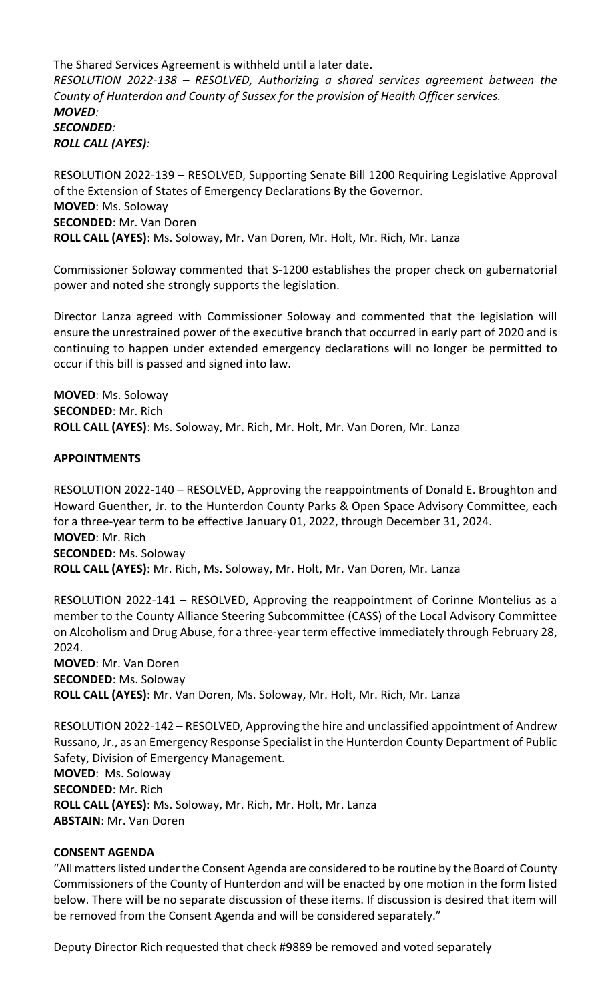The Shared Services Agreement is withheld until a later date. *RESOLUTION 2022-138 – RESOLVED, Authorizing a shared services agreement between the County of Hunterdon and County of Sussex for the provision of Health Officer services. MOVED: SECONDED: ROLL CALL (AYES):*

RESOLUTION 2022-139 – RESOLVED, Supporting Senate Bill 1200 Requiring Legislative Approval of the Extension of States of Emergency Declarations By the Governor. **MOVED**: Ms. Soloway **SECONDED**: Mr. Van Doren **ROLL CALL (AYES)**: Ms. Soloway, Mr. Van Doren, Mr. Holt, Mr. Rich, Mr. Lanza

Commissioner Soloway commented that S-1200 establishes the proper check on gubernatorial power and noted she strongly supports the legislation.

Director Lanza agreed with Commissioner Soloway and commented that the legislation will ensure the unrestrained power of the executive branch that occurred in early part of 2020 and is continuing to happen under extended emergency declarations will no longer be permitted to occur if this bill is passed and signed into law.

**MOVED**: Ms. Soloway **SECONDED**: Mr. Rich **ROLL CALL (AYES)**: Ms. Soloway, Mr. Rich, Mr. Holt, Mr. Van Doren, Mr. Lanza

### **APPOINTMENTS**

RESOLUTION 2022-140 – RESOLVED, Approving the reappointments of Donald E. Broughton and Howard Guenther, Jr. to the Hunterdon County Parks & Open Space Advisory Committee, each for a three-year term to be effective January 01, 2022, through December 31, 2024. **MOVED**: Mr. Rich **SECONDED**: Ms. Soloway **ROLL CALL (AYES)**: Mr. Rich, Ms. Soloway, Mr. Holt, Mr. Van Doren, Mr. Lanza

RESOLUTION 2022-141 – RESOLVED, Approving the reappointment of Corinne Montelius as a member to the County Alliance Steering Subcommittee (CASS) of the Local Advisory Committee on Alcoholism and Drug Abuse, for a three-year term effective immediately through February 28, 2024.

**MOVED**: Mr. Van Doren **SECONDED**: Ms. Soloway **ROLL CALL (AYES)**: Mr. Van Doren, Ms. Soloway, Mr. Holt, Mr. Rich, Mr. Lanza

RESOLUTION 2022-142 – RESOLVED, Approving the hire and unclassified appointment of Andrew Russano, Jr., as an Emergency Response Specialist in the Hunterdon County Department of Public Safety, Division of Emergency Management. **MOVED**: Ms. Soloway **SECONDED**: Mr. Rich **ROLL CALL (AYES)**: Ms. Soloway, Mr. Rich, Mr. Holt, Mr. Lanza **ABSTAIN**: Mr. Van Doren

### **CONSENT AGENDA**

"All matters listed under the Consent Agenda are considered to be routine by the Board of County Commissioners of the County of Hunterdon and will be enacted by one motion in the form listed below. There will be no separate discussion of these items. If discussion is desired that item will be removed from the Consent Agenda and will be considered separately."

Deputy Director Rich requested that check #9889 be removed and voted separately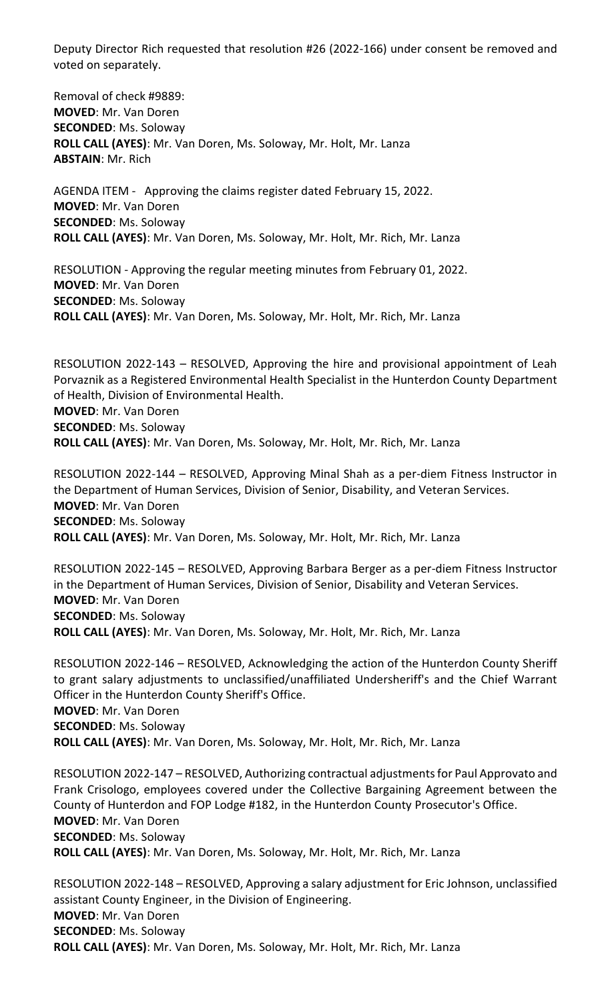Deputy Director Rich requested that resolution #26 (2022-166) under consent be removed and voted on separately.

Removal of check #9889: **MOVED**: Mr. Van Doren **SECONDED**: Ms. Soloway **ROLL CALL (AYES)**: Mr. Van Doren, Ms. Soloway, Mr. Holt, Mr. Lanza **ABSTAIN**: Mr. Rich

AGENDA ITEM - Approving the claims register dated February 15, 2022. **MOVED**: Mr. Van Doren **SECONDED**: Ms. Soloway **ROLL CALL (AYES)**: Mr. Van Doren, Ms. Soloway, Mr. Holt, Mr. Rich, Mr. Lanza

RESOLUTION - Approving the regular meeting minutes from February 01, 2022. **MOVED**: Mr. Van Doren **SECONDED**: Ms. Soloway **ROLL CALL (AYES)**: Mr. Van Doren, Ms. Soloway, Mr. Holt, Mr. Rich, Mr. Lanza

RESOLUTION 2022-143 – RESOLVED, Approving the hire and provisional appointment of Leah Porvaznik as a Registered Environmental Health Specialist in the Hunterdon County Department of Health, Division of Environmental Health. **MOVED**: Mr. Van Doren **SECONDED**: Ms. Soloway **ROLL CALL (AYES)**: Mr. Van Doren, Ms. Soloway, Mr. Holt, Mr. Rich, Mr. Lanza

RESOLUTION 2022-144 – RESOLVED, Approving Minal Shah as a per-diem Fitness Instructor in the Department of Human Services, Division of Senior, Disability, and Veteran Services. **MOVED**: Mr. Van Doren **SECONDED**: Ms. Soloway **ROLL CALL (AYES)**: Mr. Van Doren, Ms. Soloway, Mr. Holt, Mr. Rich, Mr. Lanza

RESOLUTION 2022-145 – RESOLVED, Approving Barbara Berger as a per-diem Fitness Instructor in the Department of Human Services, Division of Senior, Disability and Veteran Services. **MOVED**: Mr. Van Doren **SECONDED**: Ms. Soloway **ROLL CALL (AYES)**: Mr. Van Doren, Ms. Soloway, Mr. Holt, Mr. Rich, Mr. Lanza

RESOLUTION 2022-146 – RESOLVED, Acknowledging the action of the Hunterdon County Sheriff to grant salary adjustments to unclassified/unaffiliated Undersheriff's and the Chief Warrant Officer in the Hunterdon County Sheriff's Office. **MOVED**: Mr. Van Doren **SECONDED**: Ms. Soloway **ROLL CALL (AYES)**: Mr. Van Doren, Ms. Soloway, Mr. Holt, Mr. Rich, Mr. Lanza

RESOLUTION 2022-147 – RESOLVED, Authorizing contractual adjustments for Paul Approvato and Frank Crisologo, employees covered under the Collective Bargaining Agreement between the County of Hunterdon and FOP Lodge #182, in the Hunterdon County Prosecutor's Office. **MOVED**: Mr. Van Doren **SECONDED**: Ms. Soloway **ROLL CALL (AYES)**: Mr. Van Doren, Ms. Soloway, Mr. Holt, Mr. Rich, Mr. Lanza

RESOLUTION 2022-148 – RESOLVED, Approving a salary adjustment for Eric Johnson, unclassified assistant County Engineer, in the Division of Engineering. **MOVED**: Mr. Van Doren **SECONDED**: Ms. Soloway **ROLL CALL (AYES)**: Mr. Van Doren, Ms. Soloway, Mr. Holt, Mr. Rich, Mr. Lanza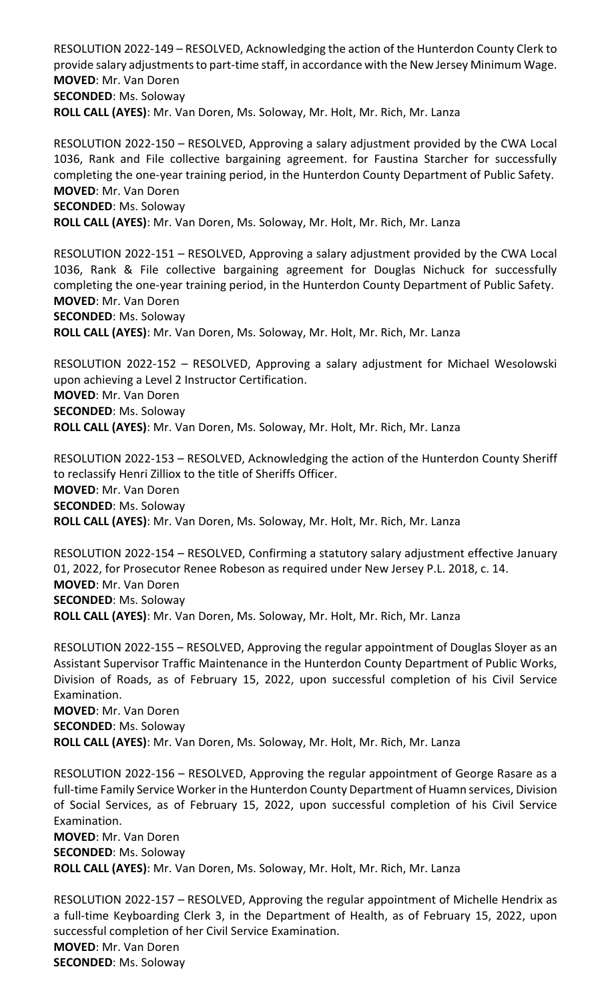RESOLUTION 2022-149 – RESOLVED, Acknowledging the action of the Hunterdon County Clerk to provide salary adjustments to part-time staff, in accordance with the New Jersey Minimum Wage. **MOVED**: Mr. Van Doren **SECONDED**: Ms. Soloway **ROLL CALL (AYES)**: Mr. Van Doren, Ms. Soloway, Mr. Holt, Mr. Rich, Mr. Lanza

RESOLUTION 2022-150 – RESOLVED, Approving a salary adjustment provided by the CWA Local 1036, Rank and File collective bargaining agreement. for Faustina Starcher for successfully completing the one-year training period, in the Hunterdon County Department of Public Safety.

**MOVED**: Mr. Van Doren **SECONDED**: Ms. Soloway **ROLL CALL (AYES)**: Mr. Van Doren, Ms. Soloway, Mr. Holt, Mr. Rich, Mr. Lanza

RESOLUTION 2022-151 – RESOLVED, Approving a salary adjustment provided by the CWA Local 1036, Rank & File collective bargaining agreement for Douglas Nichuck for successfully completing the one-year training period, in the Hunterdon County Department of Public Safety. **MOVED**: Mr. Van Doren **SECONDED**: Ms. Soloway **ROLL CALL (AYES)**: Mr. Van Doren, Ms. Soloway, Mr. Holt, Mr. Rich, Mr. Lanza

RESOLUTION 2022-152 – RESOLVED, Approving a salary adjustment for Michael Wesolowski upon achieving a Level 2 Instructor Certification. **MOVED**: Mr. Van Doren **SECONDED**: Ms. Soloway **ROLL CALL (AYES)**: Mr. Van Doren, Ms. Soloway, Mr. Holt, Mr. Rich, Mr. Lanza

RESOLUTION 2022-153 – RESOLVED, Acknowledging the action of the Hunterdon County Sheriff to reclassify Henri Zilliox to the title of Sheriffs Officer. **MOVED**: Mr. Van Doren **SECONDED**: Ms. Soloway **ROLL CALL (AYES)**: Mr. Van Doren, Ms. Soloway, Mr. Holt, Mr. Rich, Mr. Lanza

RESOLUTION 2022-154 – RESOLVED, Confirming a statutory salary adjustment effective January 01, 2022, for Prosecutor Renee Robeson as required under New Jersey P.L. 2018, c. 14. **MOVED**: Mr. Van Doren **SECONDED**: Ms. Soloway **ROLL CALL (AYES)**: Mr. Van Doren, Ms. Soloway, Mr. Holt, Mr. Rich, Mr. Lanza

RESOLUTION 2022-155 – RESOLVED, Approving the regular appointment of Douglas Sloyer as an Assistant Supervisor Traffic Maintenance in the Hunterdon County Department of Public Works, Division of Roads, as of February 15, 2022, upon successful completion of his Civil Service Examination.

**MOVED**: Mr. Van Doren **SECONDED**: Ms. Soloway **ROLL CALL (AYES)**: Mr. Van Doren, Ms. Soloway, Mr. Holt, Mr. Rich, Mr. Lanza

RESOLUTION 2022-156 – RESOLVED, Approving the regular appointment of George Rasare as a full-time Family Service Worker in the Hunterdon County Department of Huamn services, Division of Social Services, as of February 15, 2022, upon successful completion of his Civil Service Examination.

**MOVED**: Mr. Van Doren **SECONDED**: Ms. Soloway **ROLL CALL (AYES)**: Mr. Van Doren, Ms. Soloway, Mr. Holt, Mr. Rich, Mr. Lanza

RESOLUTION 2022-157 – RESOLVED, Approving the regular appointment of Michelle Hendrix as a full-time Keyboarding Clerk 3, in the Department of Health, as of February 15, 2022, upon successful completion of her Civil Service Examination. **MOVED**: Mr. Van Doren **SECONDED**: Ms. Soloway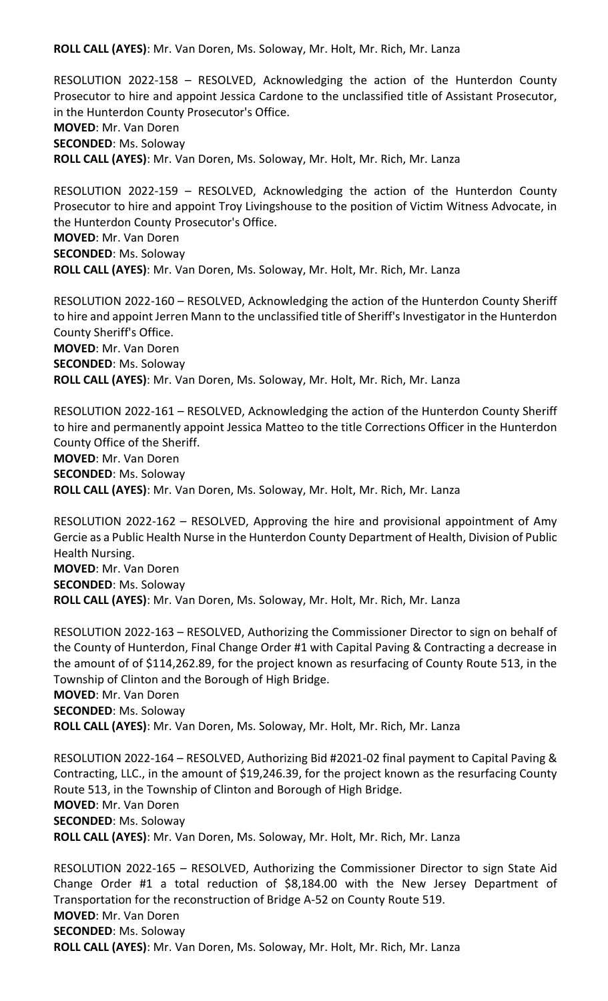**ROLL CALL (AYES)**: Mr. Van Doren, Ms. Soloway, Mr. Holt, Mr. Rich, Mr. Lanza

RESOLUTION 2022-158 – RESOLVED, Acknowledging the action of the Hunterdon County Prosecutor to hire and appoint Jessica Cardone to the unclassified title of Assistant Prosecutor, in the Hunterdon County Prosecutor's Office.

**MOVED**: Mr. Van Doren **SECONDED**: Ms. Soloway

**ROLL CALL (AYES)**: Mr. Van Doren, Ms. Soloway, Mr. Holt, Mr. Rich, Mr. Lanza

RESOLUTION 2022-159 – RESOLVED, Acknowledging the action of the Hunterdon County Prosecutor to hire and appoint Troy Livingshouse to the position of Victim Witness Advocate, in the Hunterdon County Prosecutor's Office. **MOVED**: Mr. Van Doren **SECONDED**: Ms. Soloway **ROLL CALL (AYES)**: Mr. Van Doren, Ms. Soloway, Mr. Holt, Mr. Rich, Mr. Lanza

RESOLUTION 2022-160 – RESOLVED, Acknowledging the action of the Hunterdon County Sheriff to hire and appoint Jerren Mann to the unclassified title of Sheriff's Investigator in the Hunterdon County Sheriff's Office. **MOVED**: Mr. Van Doren **SECONDED**: Ms. Soloway **ROLL CALL (AYES)**: Mr. Van Doren, Ms. Soloway, Mr. Holt, Mr. Rich, Mr. Lanza

RESOLUTION 2022-161 – RESOLVED, Acknowledging the action of the Hunterdon County Sheriff to hire and permanently appoint Jessica Matteo to the title Corrections Officer in the Hunterdon County Office of the Sheriff. **MOVED**: Mr. Van Doren **SECONDED**: Ms. Soloway **ROLL CALL (AYES)**: Mr. Van Doren, Ms. Soloway, Mr. Holt, Mr. Rich, Mr. Lanza

RESOLUTION 2022-162 – RESOLVED, Approving the hire and provisional appointment of Amy Gercie as a Public Health Nurse in the Hunterdon County Department of Health, Division of Public Health Nursing. **MOVED**: Mr. Van Doren **SECONDED**: Ms. Soloway **ROLL CALL (AYES)**: Mr. Van Doren, Ms. Soloway, Mr. Holt, Mr. Rich, Mr. Lanza

RESOLUTION 2022-163 – RESOLVED, Authorizing the Commissioner Director to sign on behalf of the County of Hunterdon, Final Change Order #1 with Capital Paving & Contracting a decrease in the amount of of \$114,262.89, for the project known as resurfacing of County Route 513, in the Township of Clinton and the Borough of High Bridge. **MOVED**: Mr. Van Doren **SECONDED**: Ms. Soloway **ROLL CALL (AYES)**: Mr. Van Doren, Ms. Soloway, Mr. Holt, Mr. Rich, Mr. Lanza

RESOLUTION 2022-164 – RESOLVED, Authorizing Bid #2021-02 final payment to Capital Paving & Contracting, LLC., in the amount of \$19,246.39, for the project known as the resurfacing County Route 513, in the Township of Clinton and Borough of High Bridge. **MOVED**: Mr. Van Doren **SECONDED**: Ms. Soloway **ROLL CALL (AYES)**: Mr. Van Doren, Ms. Soloway, Mr. Holt, Mr. Rich, Mr. Lanza

RESOLUTION 2022-165 – RESOLVED, Authorizing the Commissioner Director to sign State Aid Change Order #1 a total reduction of \$8,184.00 with the New Jersey Department of Transportation for the reconstruction of Bridge A-52 on County Route 519. **MOVED**: Mr. Van Doren **SECONDED**: Ms. Soloway **ROLL CALL (AYES)**: Mr. Van Doren, Ms. Soloway, Mr. Holt, Mr. Rich, Mr. Lanza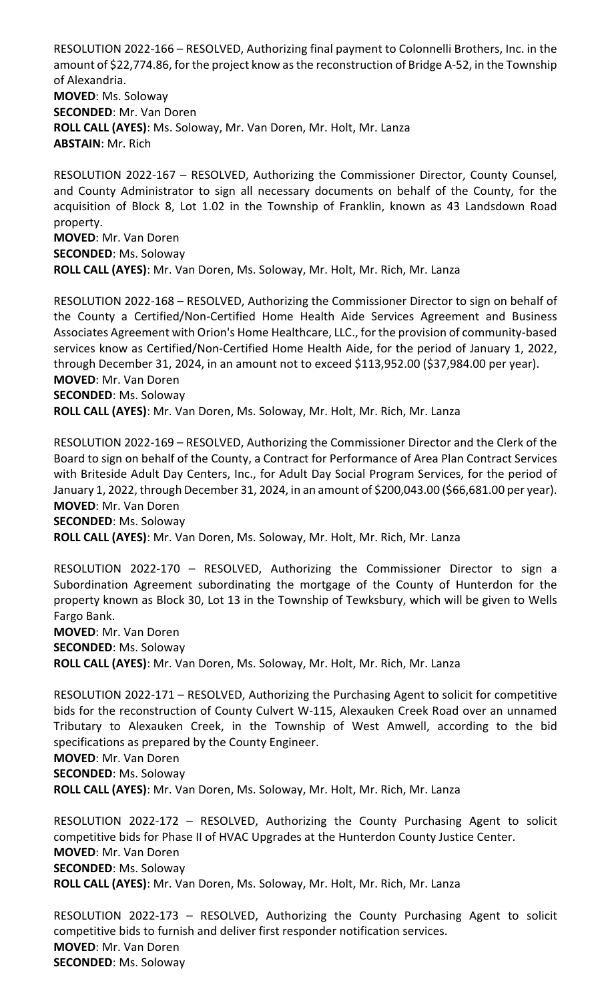RESOLUTION 2022-166 – RESOLVED, Authorizing final payment to Colonnelli Brothers, Inc. in the amount of \$22,774.86, for the project know as the reconstruction of Bridge A-52, in the Township of Alexandria. **MOVED**: Ms. Soloway **SECONDED**: Mr. Van Doren **ROLL CALL (AYES)**: Ms. Soloway, Mr. Van Doren, Mr. Holt, Mr. Lanza **ABSTAIN**: Mr. Rich

RESOLUTION 2022-167 – RESOLVED, Authorizing the Commissioner Director, County Counsel, and County Administrator to sign all necessary documents on behalf of the County, for the acquisition of Block 8, Lot 1.02 in the Township of Franklin, known as 43 Landsdown Road property. **MOVED**: Mr. Van Doren **SECONDED**: Ms. Soloway **ROLL CALL (AYES)**: Mr. Van Doren, Ms. Soloway, Mr. Holt, Mr. Rich, Mr. Lanza

RESOLUTION 2022-168 – RESOLVED, Authorizing the Commissioner Director to sign on behalf of the County a Certified/Non-Certified Home Health Aide Services Agreement and Business Associates Agreement with Orion's Home Healthcare, LLC., for the provision of community-based services know as Certified/Non-Certified Home Health Aide, for the period of January 1, 2022, through December 31, 2024, in an amount not to exceed \$113,952.00 (\$37,984.00 per year). **MOVED**: Mr. Van Doren **SECONDED**: Ms. Soloway **ROLL CALL (AYES)**: Mr. Van Doren, Ms. Soloway, Mr. Holt, Mr. Rich, Mr. Lanza

RESOLUTION 2022-169 – RESOLVED, Authorizing the Commissioner Director and the Clerk of the Board to sign on behalf of the County, a Contract for Performance of Area Plan Contract Services with Briteside Adult Day Centers, Inc., for Adult Day Social Program Services, for the period of January 1, 2022, through December 31, 2024, in an amount of \$200,043.00 (\$66,681.00 per year). **MOVED**: Mr. Van Doren **SECONDED**: Ms. Soloway

**ROLL CALL (AYES)**: Mr. Van Doren, Ms. Soloway, Mr. Holt, Mr. Rich, Mr. Lanza

RESOLUTION 2022-170 – RESOLVED, Authorizing the Commissioner Director to sign a Subordination Agreement subordinating the mortgage of the County of Hunterdon for the property known as Block 30, Lot 13 in the Township of Tewksbury, which will be given to Wells Fargo Bank.

**MOVED**: Mr. Van Doren **SECONDED**: Ms. Soloway **ROLL CALL (AYES)**: Mr. Van Doren, Ms. Soloway, Mr. Holt, Mr. Rich, Mr. Lanza

RESOLUTION 2022-171 – RESOLVED, Authorizing the Purchasing Agent to solicit for competitive bids for the reconstruction of County Culvert W-115, Alexauken Creek Road over an unnamed Tributary to Alexauken Creek, in the Township of West Amwell, according to the bid specifications as prepared by the County Engineer.

**MOVED**: Mr. Van Doren

**SECONDED**: Ms. Soloway

**ROLL CALL (AYES)**: Mr. Van Doren, Ms. Soloway, Mr. Holt, Mr. Rich, Mr. Lanza

RESOLUTION 2022-172 – RESOLVED, Authorizing the County Purchasing Agent to solicit competitive bids for Phase II of HVAC Upgrades at the Hunterdon County Justice Center. **MOVED**: Mr. Van Doren **SECONDED**: Ms. Soloway **ROLL CALL (AYES)**: Mr. Van Doren, Ms. Soloway, Mr. Holt, Mr. Rich, Mr. Lanza

RESOLUTION 2022-173 – RESOLVED, Authorizing the County Purchasing Agent to solicit competitive bids to furnish and deliver first responder notification services. **MOVED**: Mr. Van Doren **SECONDED**: Ms. Soloway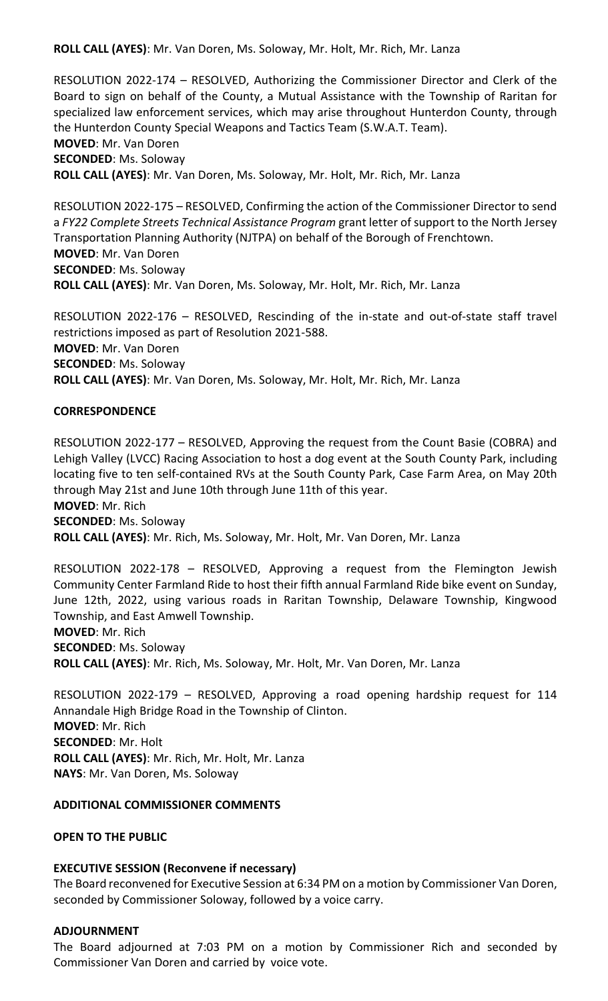**ROLL CALL (AYES)**: Mr. Van Doren, Ms. Soloway, Mr. Holt, Mr. Rich, Mr. Lanza

RESOLUTION 2022-174 – RESOLVED, Authorizing the Commissioner Director and Clerk of the Board to sign on behalf of the County, a Mutual Assistance with the Township of Raritan for specialized law enforcement services, which may arise throughout Hunterdon County, through the Hunterdon County Special Weapons and Tactics Team (S.W.A.T. Team). **MOVED**: Mr. Van Doren **SECONDED**: Ms. Soloway **ROLL CALL (AYES)**: Mr. Van Doren, Ms. Soloway, Mr. Holt, Mr. Rich, Mr. Lanza

RESOLUTION 2022-175 – RESOLVED, Confirming the action of the Commissioner Director to send a *FY22 Complete Streets Technical Assistance Program* grant letter of support to the North Jersey Transportation Planning Authority (NJTPA) on behalf of the Borough of Frenchtown. **MOVED**: Mr. Van Doren **SECONDED**: Ms. Soloway **ROLL CALL (AYES)**: Mr. Van Doren, Ms. Soloway, Mr. Holt, Mr. Rich, Mr. Lanza

RESOLUTION 2022-176 – RESOLVED, Rescinding of the in-state and out-of-state staff travel restrictions imposed as part of Resolution 2021-588. **MOVED**: Mr. Van Doren **SECONDED**: Ms. Soloway **ROLL CALL (AYES)**: Mr. Van Doren, Ms. Soloway, Mr. Holt, Mr. Rich, Mr. Lanza

### **CORRESPONDENCE**

RESOLUTION 2022-177 – RESOLVED, Approving the request from the Count Basie (COBRA) and Lehigh Valley (LVCC) Racing Association to host a dog event at the South County Park, including locating five to ten self-contained RVs at the South County Park, Case Farm Area, on May 20th through May 21st and June 10th through June 11th of this year. **MOVED**: Mr. Rich **SECONDED**: Ms. Soloway **ROLL CALL (AYES)**: Mr. Rich, Ms. Soloway, Mr. Holt, Mr. Van Doren, Mr. Lanza

RESOLUTION 2022-178 – RESOLVED, Approving a request from the Flemington Jewish Community Center Farmland Ride to host their fifth annual Farmland Ride bike event on Sunday, June 12th, 2022, using various roads in Raritan Township, Delaware Township, Kingwood Township, and East Amwell Township. **MOVED**: Mr. Rich **SECONDED**: Ms. Soloway

**ROLL CALL (AYES)**: Mr. Rich, Ms. Soloway, Mr. Holt, Mr. Van Doren, Mr. Lanza

RESOLUTION 2022-179 – RESOLVED, Approving a road opening hardship request for 114 Annandale High Bridge Road in the Township of Clinton. **MOVED**: Mr. Rich **SECONDED**: Mr. Holt **ROLL CALL (AYES)**: Mr. Rich, Mr. Holt, Mr. Lanza **NAYS**: Mr. Van Doren, Ms. Soloway

### **ADDITIONAL COMMISSIONER COMMENTS**

**OPEN TO THE PUBLIC**

### **EXECUTIVE SESSION (Reconvene if necessary)**

The Board reconvened for Executive Session at 6:34 PM on a motion by Commissioner Van Doren, seconded by Commissioner Soloway, followed by a voice carry.

#### **ADJOURNMENT**

The Board adjourned at 7:03 PM on a motion by Commissioner Rich and seconded by Commissioner Van Doren and carried by voice vote.